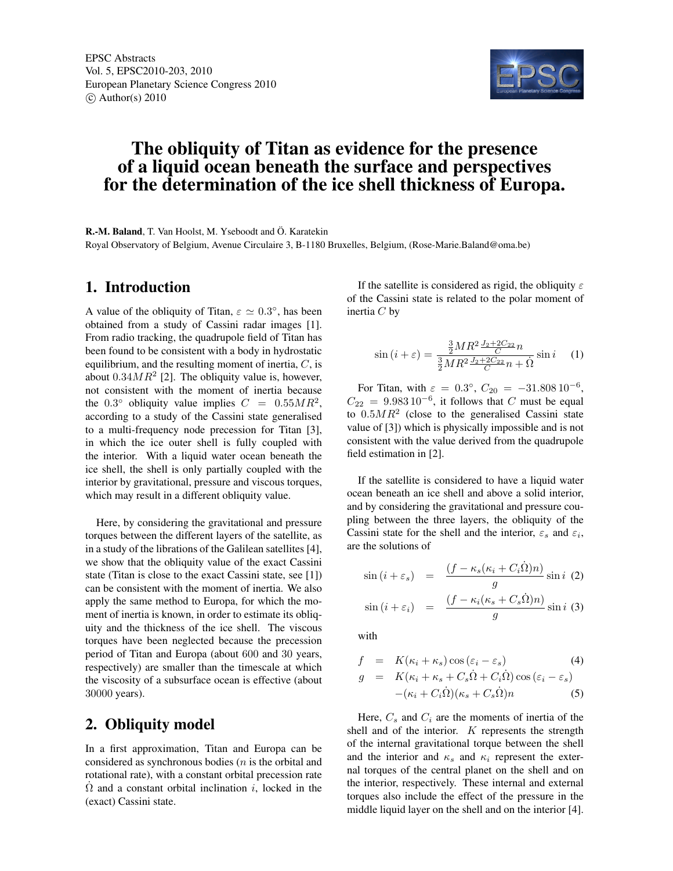

# The obliquity of Titan as evidence for the presence of a liquid ocean beneath the surface and perspectives for the determination of the ice shell thickness of Europa.

R.-M. Baland, T. Van Hoolst, M. Yseboodt and Ö. Karatekin Royal Observatory of Belgium, Avenue Circulaire 3, B-1180 Bruxelles, Belgium, (Rose-Marie.Baland@oma.be)

#### 1. Introduction

A value of the obliquity of Titan,  $\varepsilon \simeq 0.3^{\circ}$ , has been obtained from a study of Cassini radar images [1]. From radio tracking, the quadrupole field of Titan has been found to be consistent with a body in hydrostatic equilibrium, and the resulting moment of inertia,  $C$ , is about  $0.34MR^2$  [2]. The obliquity value is, however, not consistent with the moment of inertia because the 0.3° obliquity value implies  $C = 0.55MR^2$ , according to a study of the Cassini state generalised to a multi-frequency node precession for Titan [3], in which the ice outer shell is fully coupled with the interior. With a liquid water ocean beneath the ice shell, the shell is only partially coupled with the interior by gravitational, pressure and viscous torques, which may result in a different obliquity value.

Here, by considering the gravitational and pressure torques between the different layers of the satellite, as in a study of the librations of the Galilean satellites [4], we show that the obliquity value of the exact Cassini state (Titan is close to the exact Cassini state, see [1]) can be consistent with the moment of inertia. We also apply the same method to Europa, for which the moment of inertia is known, in order to estimate its obliquity and the thickness of the ice shell. The viscous torques have been neglected because the precession period of Titan and Europa (about 600 and 30 years, respectively) are smaller than the timescale at which the viscosity of a subsurface ocean is effective (about 30000 years).

## 2. Obliquity model

In a first approximation, Titan and Europa can be considered as synchronous bodies  $(n$  is the orbital and rotational rate), with a constant orbital precession rate  $\Omega$  and a constant orbital inclination i, locked in the (exact) Cassini state.

If the satellite is considered as rigid, the obliquity  $\varepsilon$ of the Cassini state is related to the polar moment of inertia  $C$  by

$$
\sin\left(i+\varepsilon\right) = \frac{\frac{3}{2}MR^2 \frac{J_2 + 2C_{22}}{C}n}{\frac{3}{2}MR^2 \frac{J_2 + 2C_{22}}{C}n + \dot{\Omega}}\sin i \quad (1)
$$

For Titan, with  $\varepsilon = 0.3^{\circ}$ ,  $C_{20} = -31.808 \, 10^{-6}$ ,  $C_{22} = 9.983 \cdot 10^{-6}$ , it follows that C must be equal to  $0.5MR^2$  (close to the generalised Cassini state value of [3]) which is physically impossible and is not consistent with the value derived from the quadrupole field estimation in [2].

If the satellite is considered to have a liquid water ocean beneath an ice shell and above a solid interior, and by considering the gravitational and pressure coupling between the three layers, the obliquity of the Cassini state for the shell and the interior,  $\varepsilon_s$  and  $\varepsilon_i$ , are the solutions of

$$
\sin(i + \varepsilon_s) = \frac{(f - \kappa_s(\kappa_i + C_i \Omega)n)}{g} \sin i \quad (2)
$$

$$
\sin(i + \varepsilon_i) = \frac{(f - \kappa_i(\kappa_s + C_s \Omega)n)}{g} \sin i \quad (3)
$$

with

$$
f = K(\kappa_i + \kappa_s) \cos(\varepsilon_i - \varepsilon_s)
$$
  
\n
$$
g = K(\kappa_i + \kappa_s + C_s \Omega + C_i \Omega) \cos(\varepsilon_i - \varepsilon_s)
$$
  
\n
$$
-(\kappa_i + C_i \Omega)(\kappa_s + C_s \Omega)n
$$
  
\n(5)

Here,  $C_s$  and  $C_i$  are the moments of inertia of the shell and of the interior.  $K$  represents the strength of the internal gravitational torque between the shell and the interior and  $\kappa_s$  and  $\kappa_i$  represent the external torques of the central planet on the shell and on the interior, respectively. These internal and external torques also include the effect of the pressure in the middle liquid layer on the shell and on the interior [4].